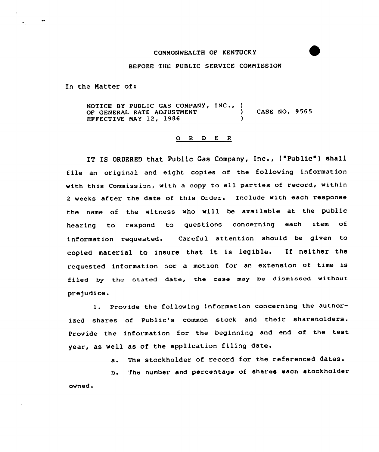## COMMONWEALTH OF KENTUCKY

## BEFORE THE PUBLIC SERVICE COMMISSION

In the Matter of:

 $\bullet\bullet$ 

 $\bullet$  .

NOTICE BY PUBLIC GAS COMPANY, INC., ) OF GENERAL RATE ADJUSTMENT ) CASE NO. 9565 EFFECTIVE NAY 12, 1986 )

## 0 <sup>R</sup> <sup>D</sup> E R

IT IS ORDERED that Public Gas Company, Inc., ("Public") shall file an original and eight copies of the following information with this Commission, with <sup>a</sup> copy to all parties of record, within <sup>2</sup> weeks after the date of this Order. Include with each response the name of the witness who will be available at the public hearing to respond to questions concerning each item of information requested. Careful attention should be given to copied material to insure that it is legible. If neither the requested information nor <sup>a</sup> motion for an extension of time is filed by the stated date, the case may be dismissed without pre judice.

1. Provide the following information concerning the authorized shares of Public's common stock and their sharenolders. Provide the information for the beginning and end of the test year, as well as of the application filing date.

a. The stockholder of record for the referenced dates.

h. The number and percentage of shares each stockholder own ed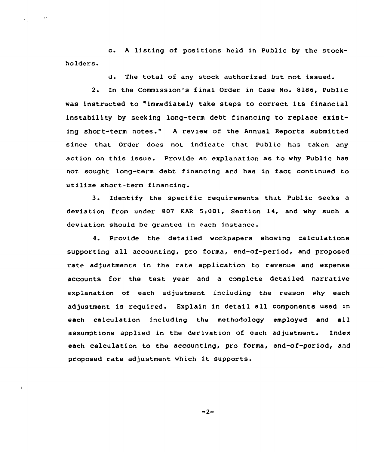c. <sup>A</sup> listing of positions held in Public by the stockholders.

 $\sim 100$ 

 $\sim$ 

d. The total of any stock authorized but not issued.

2. In the Commission's f inal Order in Case No. 8186, Public vas instructed to "immediately take steps to correct its financial instability by seeking long-term debt f inancing to replace existing short-term notes." <sup>A</sup> review of the Annual Reports submitted since that Order does not indicate that Public has taken any action on this issue. Provide an explanation as to vhy Public has not sought long-term debt financing and has in fact continued to utilize short-term financing.

3. Identify the specific requirements that Public seeks a deviation from under 807 KAR 5:001, Section 14, and vhy such a deviation should be granted in each instance.

4. Provide the detailed vorkpapers shoving calculations supporting all accounting, pro forma, end-of-period, and proposed rate adjustments in the rate application to revenue and expense accounts for the test year and a complete detailed narrative explanation of each adjustment including the reason vhy each adjustment is required. Explain in detail all components used in each calculation including the methodology employed and all assumptions applied in the derivation of each adjustment. Index each calculation to the accounting, pro forma, end-of-period, and proposed rate adjustment which it supports.

 $-2-$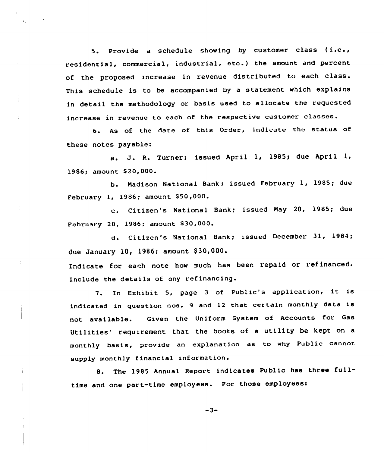5. Provide <sup>a</sup> schedule showing by customer class ( i.e., residential, commercial, industrial, etc.) the amount and percent of the proposed increase in revenue distributed to each class. This schedule is to be accompanied by <sup>a</sup> statement which explains in detail the methodology or basis used to allocate the requested increase in revenue to each of the respective customer classes.

6. As of the date of this Order, indicate the status of these notes payable:

a. J. R. Turner; issued April 1, 1985; due April 1, 1986; amount \$20,000.

b. Nadison National Bank; issued February 1, 1985; due February 1, 1986; amount \$50,000.

c. Citizen's National Bank; issued May 20, 1985; due February 20, 1986; amount \$30,000.

d. Citizen's National Sank; issued December 31, 1984; due January 10, 1986; amount \$30,000.

Indicate for each note how much has been repaid or refinanced. Include the details of any refinancing.

7. In Exhibit 5, page <sup>3</sup> of Public's application, it is indicated in question nos. <sup>9</sup> and <sup>12</sup> that certain monthly data is not available. Given the Uniform System of Accounts for Gas Utilities' requirement that the books of a utility be kept on a monthly basis, provide an explanation as to why Public cannot supply monthly financial information.

8. The <sup>1985</sup> Annual Report indicates Public has three fulltime and one part-time employees. For those employees:

 $-3-$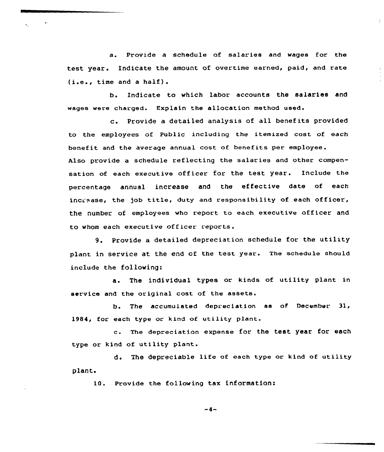a. Provide a schedule of salaries and wages for the test year. Indicate the amount of overtime earned, paid, and rate (i.e., time and <sup>a</sup> half).

b. Indicate to which labor accounts the salaries and wages were charged. Explain the allocation method used.

c. Provide <sup>a</sup> detailed analysis of all benefits provided to the employees of Public including the itemized cost of each benefit and the average annual cost of benefits per employee. Also provide a schedule reflecting the salaries and other compensation of each executive officer for the test year. Include the percentage annual increase and the effective date of each increase, the job title, duty and responsibility of each officer, the number of employees who report to each executive officer and to whom each executive officer reports .

9. Provide <sup>a</sup> detailed depreciation schedule for the utility plant in service at the end of the test year. The schedule should include the following:

a. The individual types or kinds of utility plant in service and the original cost of the assets.

b. The accumulated depreciation as of December 31, 1984, for each type or kind of utility plant.

c. The depreciation expense for the test year for each type or kind of utility plant.

plant. de The depreciable life of each type or kind of utility

10. Provide the following tax information:

 $-4-$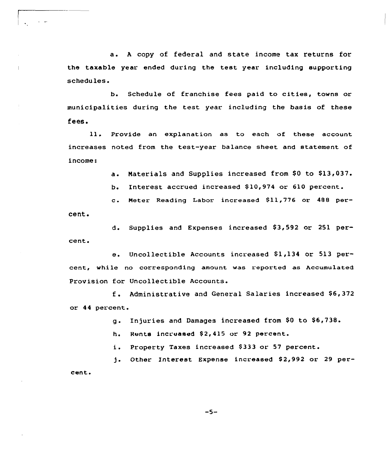a. <sup>A</sup> copy of federal and state income tax returns for the taxable year ended during the test year including supporting schedules.

 $\Delta \sim 10^4$ 

 $\mathbf{L}$ 

Schedule of franchise fees paid to cities, towns or  $b_{\bullet}$ municipalities during the test year including the basis of these fees.

11. Provide an explanation as to each of these account increases noted from the test-year balance sheet and statement of income:

a. Materials and Supplies increased from \$0 to \$13,037.

b. Interest accrued increased \$ 10,974 or 610 percent.

c. Neter Reading Labor increased 811,776 or <sup>488</sup> percent.

d. Supplies and Expenses increased \$3,592 or 251 percent.

e. Uncollectible Accounts increased \$1,134 or 513 percent, while no corresponding amount was reported as Accumulated Provision for Uncollectible Accounts.

f. Administrative and General Salaries increased \$6,372 or 44 percent.

g. Injuries and Damages increased from \$0 to \$6,738.

h. Rents increased \$2,415 or 92 percent.

i. Property Taxes increased \$333 or 57 percent.

 $1 -$ Other Interest Expense increased \$2,992 or 29 percent.

 $-5-$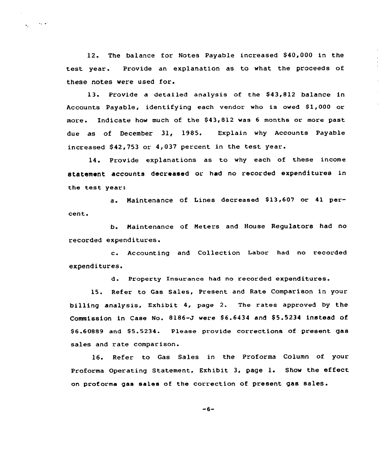12. The balance for Notes Payable increased \$40,000 in the test year. Provide an explanation as to what the proceeds of these notes were used for.

 $\chi^2_{\rm{max}}$  and  $\chi^2_{\rm{max}}$ 

13. Provide a detailed analysis of the \$43,812 balance in Accounts Payable, identifying each vendor who is owed \$1,000 or more. Indicate how much of the \$43,812 was 6 months or more past due as of December 31, 1985. Explain why Accounts Payable increased  $$42,753$  or  $4,037$  percent in the test year.

14. Provide explanations as to why each of these income statement accounts decreased or had no recorded expenditures in the test year:

a. Maintenance of Lines decreased \$13,607 or 41 percent»

b. Naintenance of Neters and House Regulators had no recorded expenditures.

c. Accounting and Collection Labor had no recorded expenditures.

d. Property Insurance had no recorded expenditures.

Refer to Gas Sales, Present and Rate Comparison in your 15. billing analysis, Exhibit 4, page 2. The rates approved by the Commission in Case No. 8186-J were \$6.6434 and \$5.5234 instead of \$6.60889 and \$5.5234. Please provide corrections of present gas sales and rate comparison.

16. Refer to Gas Sales in the Proforma Column of your Proforma Operating Statement, Exhibit 3, page 1. Show the effect on prof orma gas sales of the correction of present gas sales.

 $-6-$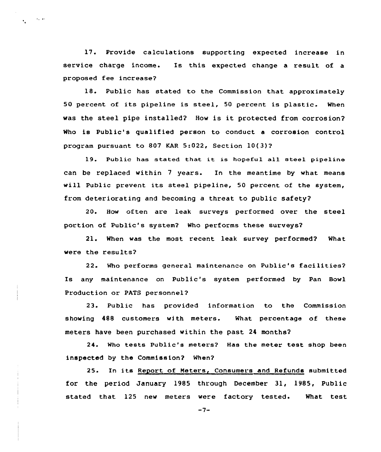17. Provide calculations supporting expected increase in service charge income. Is this expected change a result of a proposed fee increase?

 $\sim 100$  km s  $^{-1}$  $\mathbf{v}_\mathrm{eff}$ 

> 18. Public has stated to the Commission that approximately 50 percent of its pipeline is steel, 50 percent is plastic. When was the steel pipe installed? How is it protected from corrosion? Who is Public's qualified person to conduct a corrosion control program pursuant to 807 KAR 5:022, Section 10(3)?

> 19. Public has stated that it is hopeful all steel pipeline can be replaced within <sup>7</sup> years. In the meantime by what means will Public prevent its steel pipeline, 50 percent of the system, from deteriorating and becoming a threat to public safety?

> 20. How often are leak surveys performed over the steel portion of Public's system? Who performs these surveys?

> 21. When was the most recent leak survey performed? What were the results?

> 22. Who performs general maintenance on Public's facilities? Is any maintenance on Public's system performed by Pan Bowl Production or PATS personnel?

> 23. Public has provided information to the Commission showing 488 customers with meters. What percentage of these meters have been purchased within the past 24 months?

> 24. Who tests Public's meters? Has the meter test shop been inspected by the Commission? When?

> 25. In its Report of Neters, Consumers and Refunds submitted for the period January 1985 through December 31, 1985, Public stated that 125 new meters were factory tested. What test

> > $-7-$